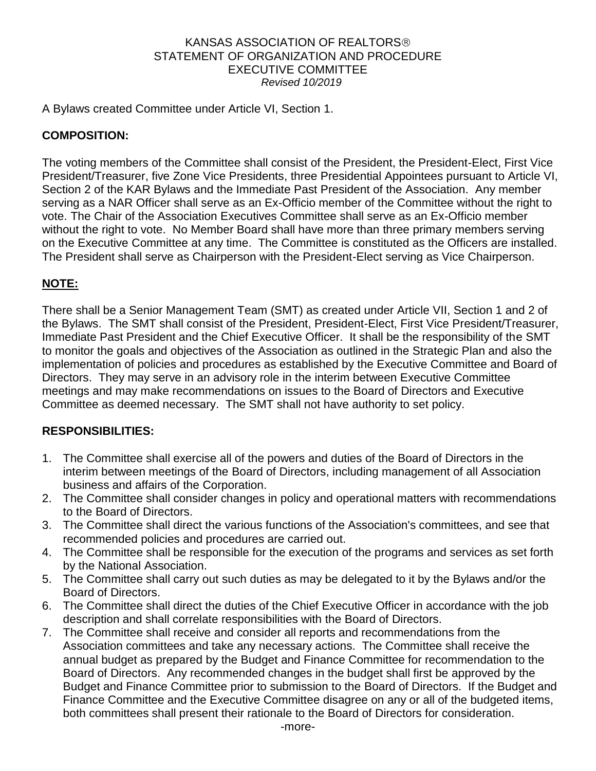#### KANSAS ASSOCIATION OF REALTORS STATEMENT OF ORGANIZATION AND PROCEDURE EXECUTIVE COMMITTEE *Revised 10/2019*

A Bylaws created Committee under Article VI, Section 1.

### **COMPOSITION:**

The voting members of the Committee shall consist of the President, the President-Elect, First Vice President/Treasurer, five Zone Vice Presidents, three Presidential Appointees pursuant to Article VI, Section 2 of the KAR Bylaws and the Immediate Past President of the Association. Any member serving as a NAR Officer shall serve as an Ex-Officio member of the Committee without the right to vote. The Chair of the Association Executives Committee shall serve as an Ex-Officio member without the right to vote. No Member Board shall have more than three primary members serving on the Executive Committee at any time. The Committee is constituted as the Officers are installed. The President shall serve as Chairperson with the President-Elect serving as Vice Chairperson.

## **NOTE:**

There shall be a Senior Management Team (SMT) as created under Article VII, Section 1 and 2 of the Bylaws. The SMT shall consist of the President, President-Elect, First Vice President/Treasurer, Immediate Past President and the Chief Executive Officer. It shall be the responsibility of the SMT to monitor the goals and objectives of the Association as outlined in the Strategic Plan and also the implementation of policies and procedures as established by the Executive Committee and Board of Directors. They may serve in an advisory role in the interim between Executive Committee meetings and may make recommendations on issues to the Board of Directors and Executive Committee as deemed necessary. The SMT shall not have authority to set policy.

### **RESPONSIBILITIES:**

- 1. The Committee shall exercise all of the powers and duties of the Board of Directors in the interim between meetings of the Board of Directors, including management of all Association business and affairs of the Corporation.
- 2. The Committee shall consider changes in policy and operational matters with recommendations to the Board of Directors.
- 3. The Committee shall direct the various functions of the Association's committees, and see that recommended policies and procedures are carried out.
- 4. The Committee shall be responsible for the execution of the programs and services as set forth by the National Association.
- 5. The Committee shall carry out such duties as may be delegated to it by the Bylaws and/or the Board of Directors.
- 6. The Committee shall direct the duties of the Chief Executive Officer in accordance with the job description and shall correlate responsibilities with the Board of Directors.
- 7. The Committee shall receive and consider all reports and recommendations from the Association committees and take any necessary actions. The Committee shall receive the annual budget as prepared by the Budget and Finance Committee for recommendation to the Board of Directors. Any recommended changes in the budget shall first be approved by the Budget and Finance Committee prior to submission to the Board of Directors. If the Budget and Finance Committee and the Executive Committee disagree on any or all of the budgeted items, both committees shall present their rationale to the Board of Directors for consideration.